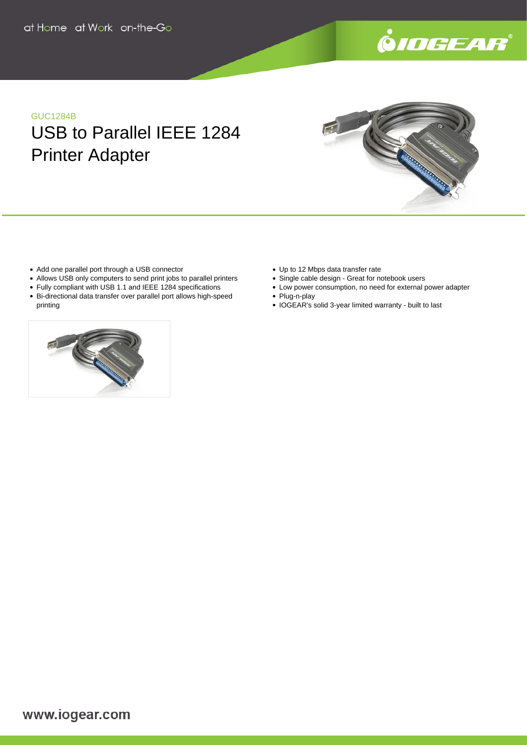

**Contract Contract Contract Contract Contract Contract Contract Contract Contract Contract Contract Contract Co** 

# GUC1284B

USB to Parallel IEEE 1284 Printer Adapter

- Add one parallel port through a USB connector
- Allows USB only computers to send print jobs to parallel printers
- Fully compliant with USB 1.1 and IEEE 1284 specifications
- Bi-directional data transfer over parallel port allows high-speed printing



- Single cable design Great for notebook users
- Low power consumption, no need for external power adapter • Plug-n-play
- IOGEAR's solid 3-year limited warranty built to last